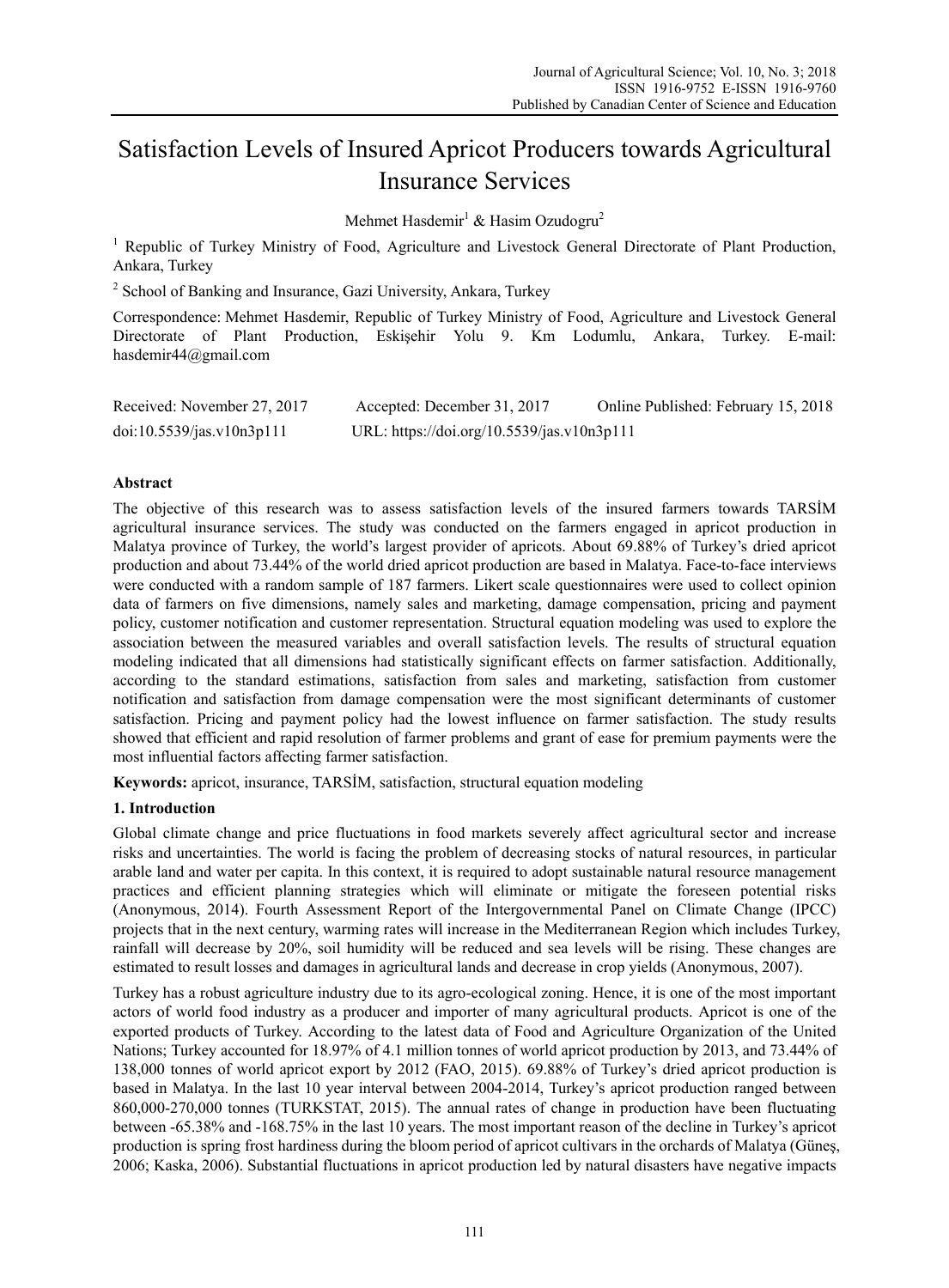# Satisfaction Levels of Insured Apricot Producers towards Agricultural Insurance Services

Mehmet Hasdemir<sup>1</sup> & Hasim Ozudogru<sup>2</sup>

<sup>1</sup> Republic of Turkey Ministry of Food, Agriculture and Livestock General Directorate of Plant Production, Ankara, Turkey

<sup>2</sup> School of Banking and Insurance, Gazi University, Ankara, Turkey

Correspondence: Mehmet Hasdemir, Republic of Turkey Ministry of Food, Agriculture and Livestock General Directorate of Plant Production, Eskişehir Yolu 9. Km Lodumlu, Ankara, Turkey. E-mail: hasdemir44@gmail.com

| Received: November 27, 2017 | Accepted: December 31, 2017                | Online Published: February 15, 2018 |
|-----------------------------|--------------------------------------------|-------------------------------------|
| doi:10.5539/jas.v10n3p111   | URL: https://doi.org/10.5539/jas.v10n3p111 |                                     |

# **Abstract**

The objective of this research was to assess satisfaction levels of the insured farmers towards TARSİM agricultural insurance services. The study was conducted on the farmers engaged in apricot production in Malatya province of Turkey, the world's largest provider of apricots. About 69.88% of Turkey's dried apricot production and about 73.44% of the world dried apricot production are based in Malatya. Face-to-face interviews were conducted with a random sample of 187 farmers. Likert scale questionnaires were used to collect opinion data of farmers on five dimensions, namely sales and marketing, damage compensation, pricing and payment policy, customer notification and customer representation. Structural equation modeling was used to explore the association between the measured variables and overall satisfaction levels. The results of structural equation modeling indicated that all dimensions had statistically significant effects on farmer satisfaction. Additionally, according to the standard estimations, satisfaction from sales and marketing, satisfaction from customer notification and satisfaction from damage compensation were the most significant determinants of customer satisfaction. Pricing and payment policy had the lowest influence on farmer satisfaction. The study results showed that efficient and rapid resolution of farmer problems and grant of ease for premium payments were the most influential factors affecting farmer satisfaction.

**Keywords:** apricot, insurance, TARSİM, satisfaction, structural equation modeling

# **1. Introduction**

Global climate change and price fluctuations in food markets severely affect agricultural sector and increase risks and uncertainties. The world is facing the problem of decreasing stocks of natural resources, in particular arable land and water per capita. In this context, it is required to adopt sustainable natural resource management practices and efficient planning strategies which will eliminate or mitigate the foreseen potential risks (Anonymous, 2014). Fourth Assessment Report of the Intergovernmental Panel on Climate Change (IPCC) projects that in the next century, warming rates will increase in the Mediterranean Region which includes Turkey, rainfall will decrease by 20%, soil humidity will be reduced and sea levels will be rising. These changes are estimated to result losses and damages in agricultural lands and decrease in crop yields (Anonymous, 2007).

Turkey has a robust agriculture industry due to its agro-ecological zoning. Hence, it is one of the most important actors of world food industry as a producer and importer of many agricultural products. Apricot is one of the exported products of Turkey. According to the latest data of Food and Agriculture Organization of the United Nations; Turkey accounted for 18.97% of 4.1 million tonnes of world apricot production by 2013, and 73.44% of 138,000 tonnes of world apricot export by 2012 (FAO, 2015). 69.88% of Turkey's dried apricot production is based in Malatya. In the last 10 year interval between 2004-2014, Turkey's apricot production ranged between 860,000-270,000 tonnes (TURKSTAT, 2015). The annual rates of change in production have been fluctuating between -65.38% and -168.75% in the last 10 years. The most important reason of the decline in Turkey's apricot production is spring frost hardiness during the bloom period of apricot cultivars in the orchards of Malatya (Güneş, 2006; Kaska, 2006). Substantial fluctuations in apricot production led by natural disasters have negative impacts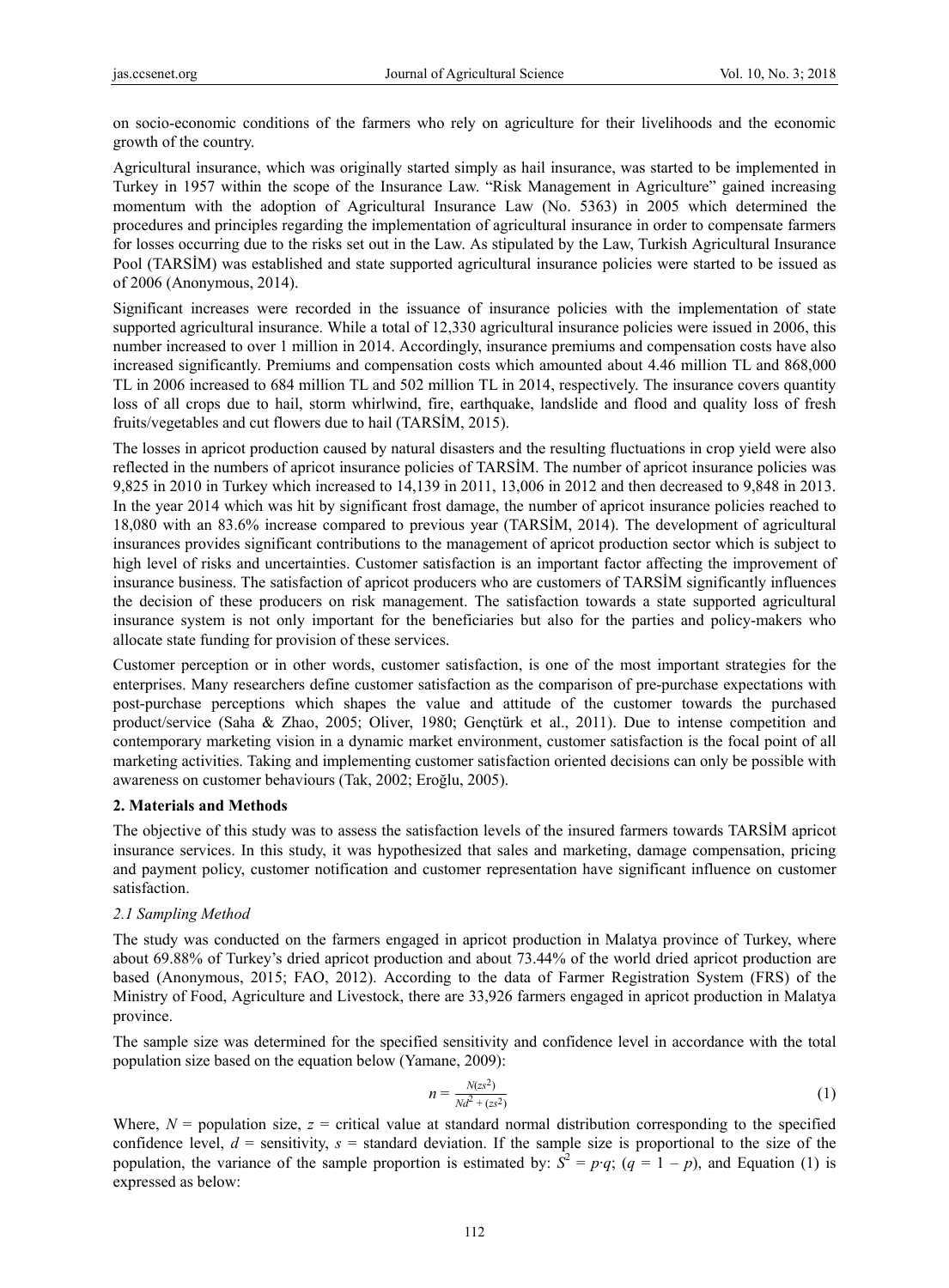on socio-economic conditions of the farmers who rely on agriculture for their livelihoods and the economic growth of the country.

Agricultural insurance, which was originally started simply as hail insurance, was started to be implemented in Turkey in 1957 within the scope of the Insurance Law. "Risk Management in Agriculture" gained increasing momentum with the adoption of Agricultural Insurance Law (No. 5363) in 2005 which determined the procedures and principles regarding the implementation of agricultural insurance in order to compensate farmers for losses occurring due to the risks set out in the Law. As stipulated by the Law, Turkish Agricultural Insurance Pool (TARSİM) was established and state supported agricultural insurance policies were started to be issued as of 2006 (Anonymous, 2014).

Significant increases were recorded in the issuance of insurance policies with the implementation of state supported agricultural insurance. While a total of 12,330 agricultural insurance policies were issued in 2006, this number increased to over 1 million in 2014. Accordingly, insurance premiums and compensation costs have also increased significantly. Premiums and compensation costs which amounted about 4.46 million TL and 868,000 TL in 2006 increased to 684 million TL and 502 million TL in 2014, respectively. The insurance covers quantity loss of all crops due to hail, storm whirlwind, fire, earthquake, landslide and flood and quality loss of fresh fruits/vegetables and cut flowers due to hail (TARSİM, 2015).

The losses in apricot production caused by natural disasters and the resulting fluctuations in crop yield were also reflected in the numbers of apricot insurance policies of TARSİM. The number of apricot insurance policies was 9,825 in 2010 in Turkey which increased to 14,139 in 2011, 13,006 in 2012 and then decreased to 9,848 in 2013. In the year 2014 which was hit by significant frost damage, the number of apricot insurance policies reached to 18,080 with an 83.6% increase compared to previous year (TARSİM, 2014). The development of agricultural insurances provides significant contributions to the management of apricot production sector which is subject to high level of risks and uncertainties. Customer satisfaction is an important factor affecting the improvement of insurance business. The satisfaction of apricot producers who are customers of TARSİM significantly influences the decision of these producers on risk management. The satisfaction towards a state supported agricultural insurance system is not only important for the beneficiaries but also for the parties and policy-makers who allocate state funding for provision of these services.

Customer perception or in other words, customer satisfaction, is one of the most important strategies for the enterprises. Many researchers define customer satisfaction as the comparison of pre-purchase expectations with post-purchase perceptions which shapes the value and attitude of the customer towards the purchased product/service (Saha & Zhao, 2005; Oliver, 1980; Gençtürk et al., 2011). Due to intense competition and contemporary marketing vision in a dynamic market environment, customer satisfaction is the focal point of all marketing activities. Taking and implementing customer satisfaction oriented decisions can only be possible with awareness on customer behaviours (Tak, 2002; Eroğlu, 2005).

# **2. Materials and Methods**

The objective of this study was to assess the satisfaction levels of the insured farmers towards TARSİM apricot insurance services. In this study, it was hypothesized that sales and marketing, damage compensation, pricing and payment policy, customer notification and customer representation have significant influence on customer satisfaction.

# *2.1 Sampling Method*

The study was conducted on the farmers engaged in apricot production in Malatya province of Turkey, where about 69.88% of Turkey's dried apricot production and about 73.44% of the world dried apricot production are based (Anonymous, 2015; FAO, 2012). According to the data of Farmer Registration System (FRS) of the Ministry of Food, Agriculture and Livestock, there are 33,926 farmers engaged in apricot production in Malatya province.

The sample size was determined for the specified sensitivity and confidence level in accordance with the total population size based on the equation below (Yamane, 2009):

$$
n = \frac{N(zs^2)}{Nd^2 + (zs^2)}
$$
 (1)

Where,  $N =$  population size,  $z =$  critical value at standard normal distribution corresponding to the specified confidence level,  $d =$  sensitivity,  $s =$  standard deviation. If the sample size is proportional to the size of the population, the variance of the sample proportion is estimated by:  $S^2 = p \cdot q$ ;  $(q = 1 - p)$ , and Equation (1) is expressed as below: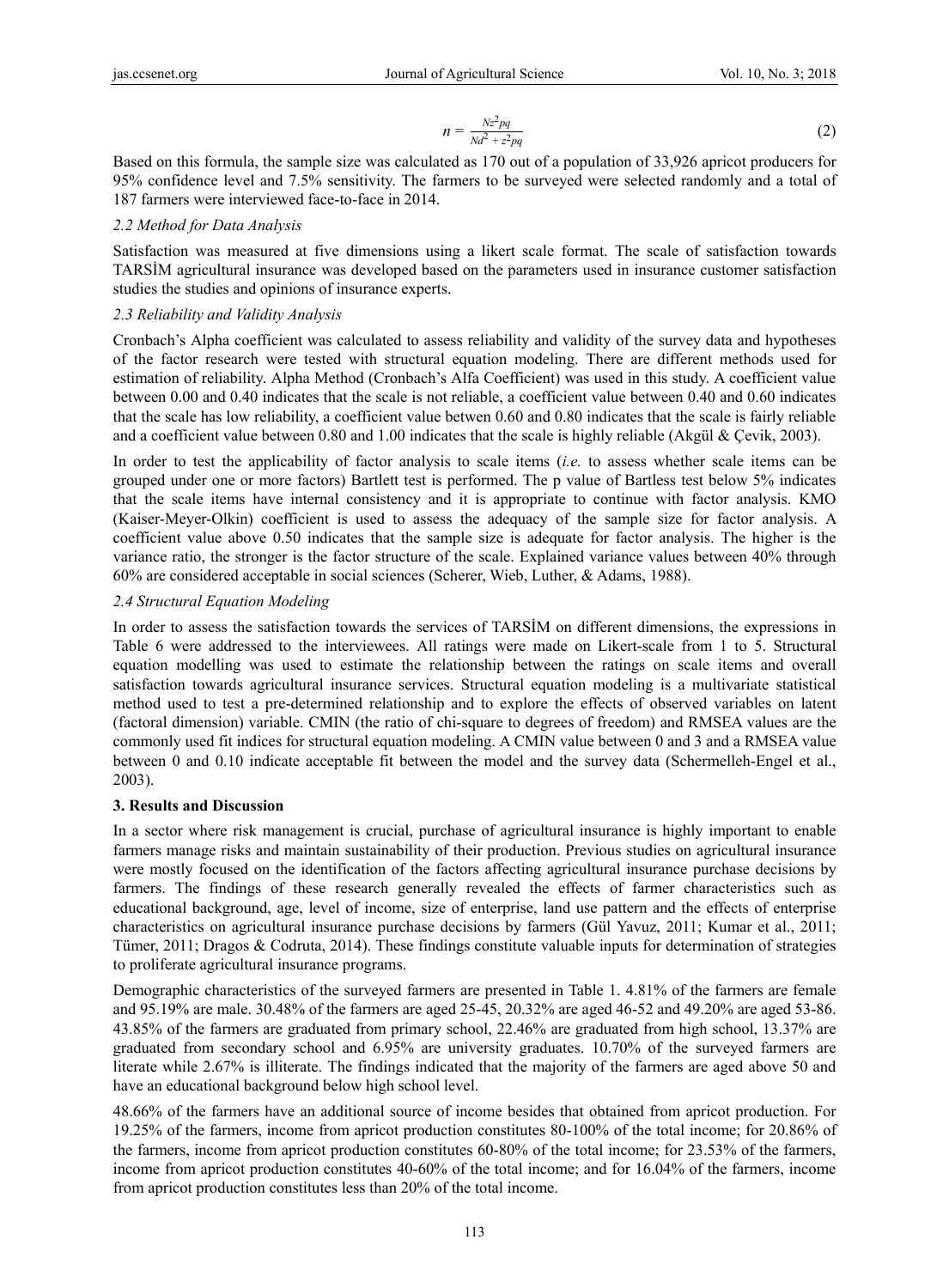$$
n = \frac{Nz^2pq}{Nd^2 + z^2pq}
$$
 (2)

Based on this formula, the sample size was calculated as 170 out of a population of 33,926 apricot producers for 95% confidence level and 7.5% sensitivity. The farmers to be surveyed were selected randomly and a total of 187 farmers were interviewed face-to-face in 2014.

# *2.2 Method for Data Analysis*

Satisfaction was measured at five dimensions using a likert scale format. The scale of satisfaction towards TARSİM agricultural insurance was developed based on the parameters used in insurance customer satisfaction studies the studies and opinions of insurance experts.

# *2.3 Reliability and Validity Analysis*

Cronbach's Alpha coefficient was calculated to assess reliability and validity of the survey data and hypotheses of the factor research were tested with structural equation modeling. There are different methods used for estimation of reliability. Alpha Method (Cronbach's Alfa Coefficient) was used in this study. A coefficient value between 0.00 and 0.40 indicates that the scale is not reliable, a coefficient value between 0.40 and 0.60 indicates that the scale has low reliability, a coefficient value betwen 0.60 and 0.80 indicates that the scale is fairly reliable and a coefficient value between 0.80 and 1.00 indicates that the scale is highly reliable (Akgül & Çevik, 2003).

In order to test the applicability of factor analysis to scale items (*i.e.* to assess whether scale items can be grouped under one or more factors) Bartlett test is performed. The p value of Bartless test below 5% indicates that the scale items have internal consistency and it is appropriate to continue with factor analysis. KMO (Kaiser-Meyer-Olkin) coefficient is used to assess the adequacy of the sample size for factor analysis. A coefficient value above 0.50 indicates that the sample size is adequate for factor analysis. The higher is the variance ratio, the stronger is the factor structure of the scale. Explained variance values between 40% through 60% are considered acceptable in social sciences (Scherer, Wieb, Luther, & Adams, 1988).

# *2.4 Structural Equation Modeling*

In order to assess the satisfaction towards the services of TARSİM on different dimensions, the expressions in Table 6 were addressed to the interviewees. All ratings were made on Likert-scale from 1 to 5. Structural equation modelling was used to estimate the relationship between the ratings on scale items and overall satisfaction towards agricultural insurance services. Structural equation modeling is a multivariate statistical method used to test a pre-determined relationship and to explore the effects of observed variables on latent (factoral dimension) variable. CMIN (the ratio of chi-square to degrees of freedom) and RMSEA values are the commonly used fit indices for structural equation modeling. A CMIN value between 0 and 3 and a RMSEA value between 0 and 0.10 indicate acceptable fit between the model and the survey data (Schermelleh-Engel et al., 2003).

# **3. Results and Discussion**

In a sector where risk management is crucial, purchase of agricultural insurance is highly important to enable farmers manage risks and maintain sustainability of their production. Previous studies on agricultural insurance were mostly focused on the identification of the factors affecting agricultural insurance purchase decisions by farmers. The findings of these research generally revealed the effects of farmer characteristics such as educational background, age, level of income, size of enterprise, land use pattern and the effects of enterprise characteristics on agricultural insurance purchase decisions by farmers (Gül Yavuz, 2011; Kumar et al., 2011; Tümer, 2011; Dragos & Codruta, 2014). These findings constitute valuable inputs for determination of strategies to proliferate agricultural insurance programs.

Demographic characteristics of the surveyed farmers are presented in Table 1. 4.81% of the farmers are female and 95.19% are male. 30.48% of the farmers are aged 25-45, 20.32% are aged 46-52 and 49.20% are aged 53-86. 43.85% of the farmers are graduated from primary school, 22.46% are graduated from high school, 13.37% are graduated from secondary school and 6.95% are university graduates. 10.70% of the surveyed farmers are literate while 2.67% is illiterate. The findings indicated that the majority of the farmers are aged above 50 and have an educational background below high school level.

48.66% of the farmers have an additional source of income besides that obtained from apricot production. For 19.25% of the farmers, income from apricot production constitutes 80-100% of the total income; for 20.86% of the farmers, income from apricot production constitutes 60-80% of the total income; for 23.53% of the farmers, income from apricot production constitutes 40-60% of the total income; and for 16.04% of the farmers, income from apricot production constitutes less than 20% of the total income.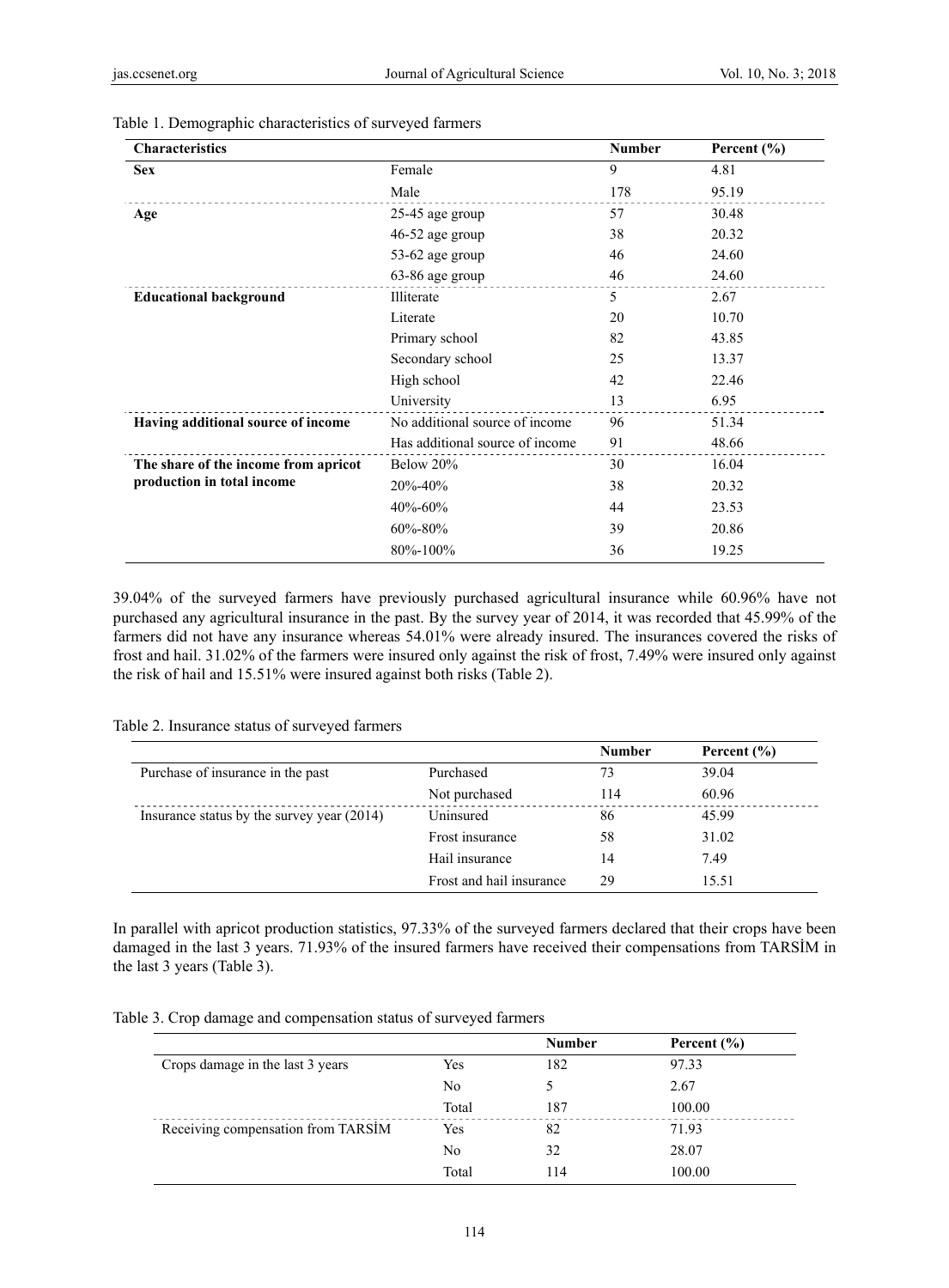| <b>Characteristics</b>               |                                 | <b>Number</b> | Percent $(\% )$ |
|--------------------------------------|---------------------------------|---------------|-----------------|
| <b>Sex</b>                           | Female                          | 9             | 4.81            |
|                                      | Male                            | 178           | 95.19           |
| Age                                  | 25-45 age group                 | 57            | 30.48           |
|                                      | $46-52$ age group               | 38            | 20.32           |
|                                      | 53-62 age group                 | 46            | 24.60           |
|                                      | 63-86 age group                 | 46            | 24.60           |
| <b>Educational background</b>        | Illiterate                      | 5             | 2.67            |
|                                      | Literate                        | 20            | 10.70           |
|                                      | Primary school                  | 82            | 43.85           |
|                                      | Secondary school                | 25            | 13.37           |
|                                      | High school                     | 42            | 22.46           |
|                                      | University                      | 13            | 6.95            |
| Having additional source of income   | No additional source of income  | 96            | 51.34           |
|                                      | Has additional source of income | 91            | 48.66           |
| The share of the income from apricot | Below 20%                       | 30            | 16.04           |
| production in total income           | 20%-40%                         | 38            | 20.32           |
|                                      | 40%-60%                         | 44            | 23.53           |
|                                      | $60\% - 80\%$                   | 39            | 20.86           |
|                                      | $80\% - 100\%$                  | 36            | 19.25           |
|                                      |                                 |               |                 |

#### Table 1. Demographic characteristics of surveyed farmers

39.04% of the surveyed farmers have previously purchased agricultural insurance while 60.96% have not purchased any agricultural insurance in the past. By the survey year of 2014, it was recorded that 45.99% of the farmers did not have any insurance whereas 54.01% were already insured. The insurances covered the risks of frost and hail. 31.02% of the farmers were insured only against the risk of frost, 7.49% were insured only against the risk of hail and 15.51% were insured against both risks (Table 2).

| Table 2. Insurance status of surveyed farmers |  |  |  |
|-----------------------------------------------|--|--|--|
|-----------------------------------------------|--|--|--|

|                                            |                          | <b>Number</b> | Percent $(\% )$ |
|--------------------------------------------|--------------------------|---------------|-----------------|
| Purchase of insurance in the past          | Purchased                | 73            | 39.04           |
|                                            | Not purchased            | 114           | 60.96           |
| Insurance status by the survey year (2014) | Uninsured                | 86            | 45.99           |
|                                            | Frost insurance          | 58            | 31.02           |
|                                            | Hail insurance           | 14            | 7.49            |
|                                            | Frost and hail insurance | 29            | 15.51           |

In parallel with apricot production statistics, 97.33% of the surveyed farmers declared that their crops have been damaged in the last 3 years. 71.93% of the insured farmers have received their compensations from TARSİM in the last 3 years (Table 3).

Table 3. Crop damage and compensation status of surveyed farmers

|                                    |       | <b>Number</b> | Percent $(\% )$ |
|------------------------------------|-------|---------------|-----------------|
| Crops damage in the last 3 years   | Yes   | 182           | 97.33           |
|                                    | No    | 5.            | 2.67            |
|                                    | Total | 187           | 100.00          |
| Receiving compensation from TARSİM | Yes   | 82            | 71.93           |
|                                    | No    | 32            | 28.07           |
|                                    | Total | 114           | 100.00          |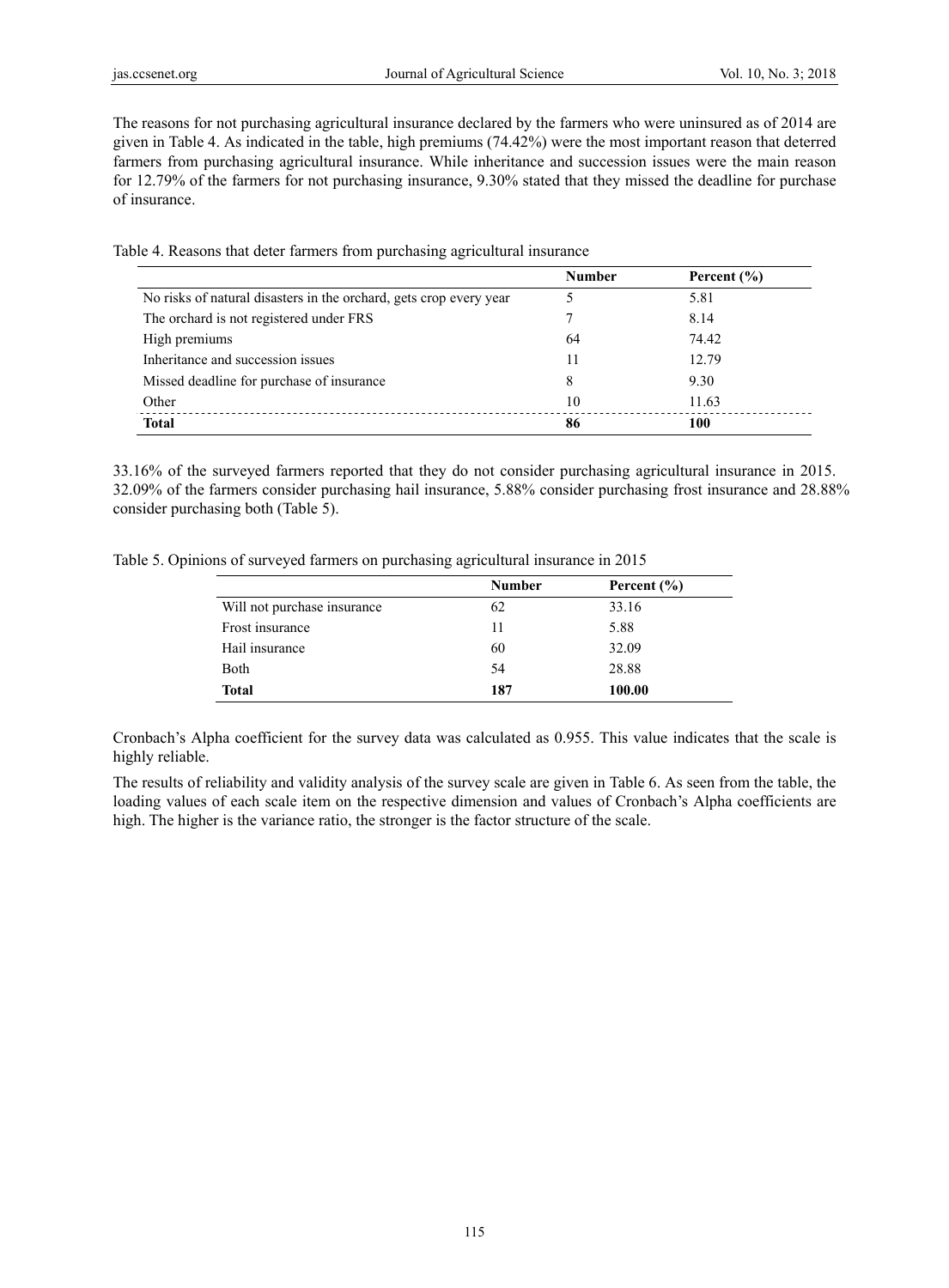The reasons for not purchasing agricultural insurance declared by the farmers who were uninsured as of 2014 are given in Table 4. As indicated in the table, high premiums (74.42%) were the most important reason that deterred farmers from purchasing agricultural insurance. While inheritance and succession issues were the main reason for 12.79% of the farmers for not purchasing insurance, 9.30% stated that they missed the deadline for purchase of insurance.

Table 4. Reasons that deter farmers from purchasing agricultural insurance

|                                                                    | <b>Number</b> | Percent $(\% )$ |
|--------------------------------------------------------------------|---------------|-----------------|
| No risks of natural disasters in the orchard, gets crop every year |               | 5.81            |
| The orchard is not registered under FRS                            |               | 8.14            |
| High premiums                                                      | 64            | 74.42           |
| Inheritance and succession issues                                  | 11            | 12.79           |
| Missed deadline for purchase of insurance                          | 8             | 9.30            |
| Other                                                              | 10            | 11.63           |
| <b>Total</b>                                                       | 86            | 100             |

33.16% of the surveyed farmers reported that they do not consider purchasing agricultural insurance in 2015. 32.09% of the farmers consider purchasing hail insurance, 5.88% consider purchasing frost insurance and 28.88% consider purchasing both (Table 5).

Table 5. Opinions of surveyed farmers on purchasing agricultural insurance in 2015

|                             | <b>Number</b> | Percent $(\% )$ |
|-----------------------------|---------------|-----------------|
| Will not purchase insurance | 62            | 33.16           |
| Frost insurance             | 11            | 5.88            |
| Hail insurance              | 60            | 32.09           |
| <b>B</b> oth                | 54            | 28.88           |
| <b>Total</b>                | 187           | 100.00          |

Cronbach's Alpha coefficient for the survey data was calculated as 0.955. This value indicates that the scale is highly reliable.

The results of reliability and validity analysis of the survey scale are given in Table 6. As seen from the table, the loading values of each scale item on the respective dimension and values of Cronbach's Alpha coefficients are high. The higher is the variance ratio, the stronger is the factor structure of the scale.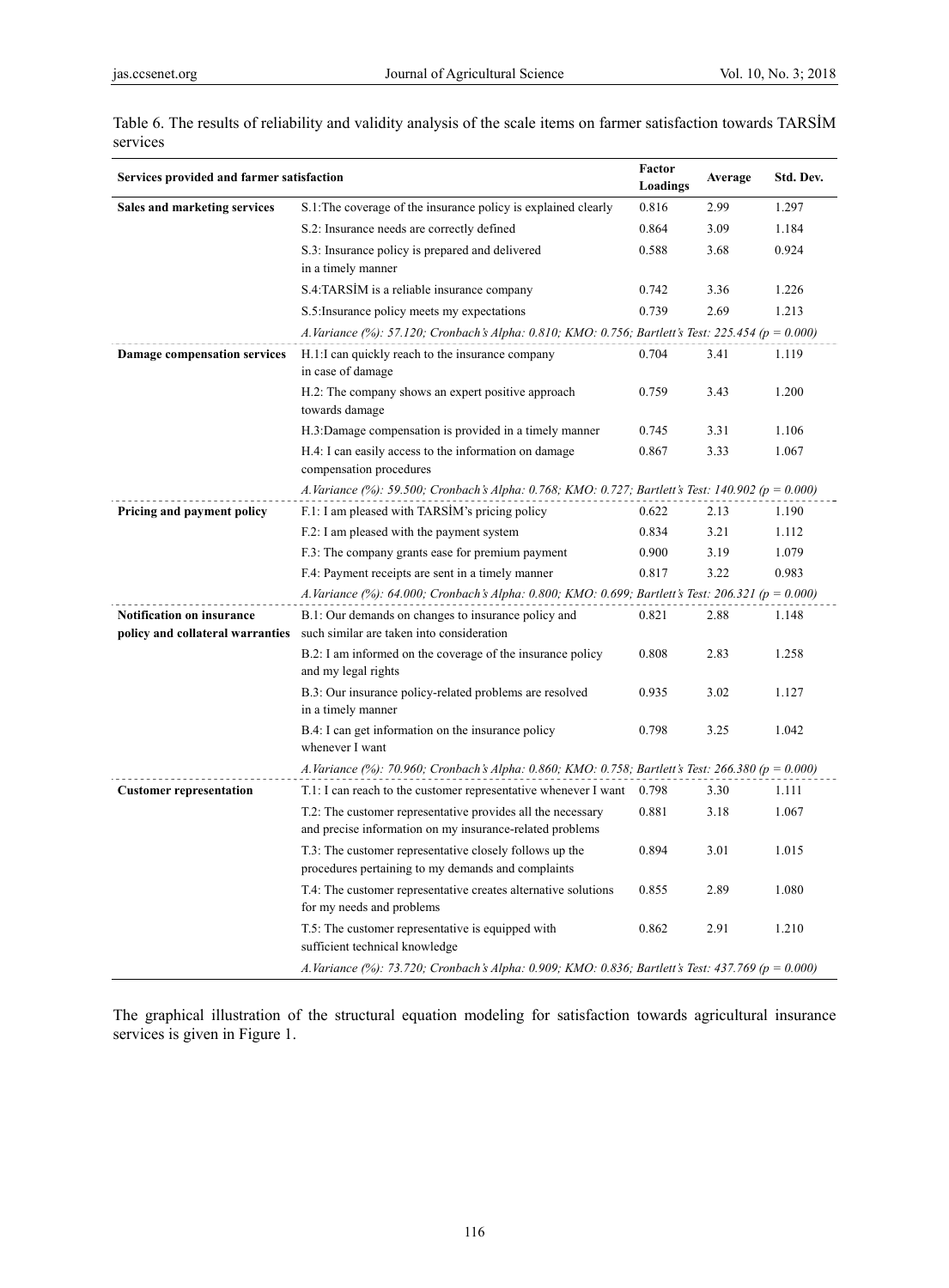| Services provided and farmer satisfaction                            | Factor<br>Loadings                                                                                                      | Average | Std. Dev. |       |  |  |  |  |  |
|----------------------------------------------------------------------|-------------------------------------------------------------------------------------------------------------------------|---------|-----------|-------|--|--|--|--|--|
| Sales and marketing services                                         | S.1. The coverage of the insurance policy is explained clearly                                                          | 0.816   | 2.99      | 1.297 |  |  |  |  |  |
|                                                                      | S.2: Insurance needs are correctly defined                                                                              | 0.864   | 3.09      | 1.184 |  |  |  |  |  |
|                                                                      | S.3: Insurance policy is prepared and delivered<br>in a timely manner                                                   | 0.588   | 3.68      | 0.924 |  |  |  |  |  |
|                                                                      | S.4:TARSIM is a reliable insurance company                                                                              | 0.742   | 3.36      | 1.226 |  |  |  |  |  |
|                                                                      | S.5: Insurance policy meets my expectations                                                                             | 0.739   | 2.69      | 1.213 |  |  |  |  |  |
|                                                                      | A.Variance (%): 57.120; Cronbach's Alpha: 0.810; KMO: 0.756; Bartlett's Test: 225.454 (p = 0.000)                       |         |           |       |  |  |  |  |  |
| <b>Damage compensation services</b>                                  | H.1:I can quickly reach to the insurance company<br>in case of damage                                                   | 0.704   | 3.41      | 1.119 |  |  |  |  |  |
|                                                                      | H.2: The company shows an expert positive approach<br>towards damage                                                    | 0.759   | 3.43      | 1.200 |  |  |  |  |  |
|                                                                      | H.3:Damage compensation is provided in a timely manner                                                                  | 0.745   | 3.31      | 1.106 |  |  |  |  |  |
|                                                                      | H.4: I can easily access to the information on damage<br>compensation procedures                                        | 0.867   | 3.33      | 1.067 |  |  |  |  |  |
|                                                                      | A.Variance (%): 59.500; Cronbach's Alpha: 0.768; KMO: 0.727; Bartlett's Test: 140.902 ( $p = 0.000$ )                   |         |           |       |  |  |  |  |  |
| Pricing and payment policy                                           | F.1: I am pleased with TARSIM's pricing policy                                                                          | 0.622   | 2.13      | 1.190 |  |  |  |  |  |
|                                                                      | F.2: I am pleased with the payment system                                                                               | 0.834   | 3.21      | 1.112 |  |  |  |  |  |
|                                                                      | F.3: The company grants ease for premium payment                                                                        | 0.900   | 3.19      | 1.079 |  |  |  |  |  |
|                                                                      | F.4: Payment receipts are sent in a timely manner                                                                       | 0.817   | 3.22      | 0.983 |  |  |  |  |  |
|                                                                      | A.Variance (%): 64.000; Cronbach's Alpha: 0.800; KMO: 0.699; Bartlett's Test: 206.321 (p = 0.000)                       |         |           |       |  |  |  |  |  |
| <b>Notification on insurance</b><br>policy and collateral warranties | B.1: Our demands on changes to insurance policy and<br>such similar are taken into consideration                        | 0.821   | 2.88      | 1.148 |  |  |  |  |  |
|                                                                      | B.2: I am informed on the coverage of the insurance policy<br>and my legal rights                                       | 0.808   | 2.83      | 1.258 |  |  |  |  |  |
|                                                                      | B.3: Our insurance policy-related problems are resolved<br>in a timely manner                                           | 0.935   | 3.02      | 1.127 |  |  |  |  |  |
|                                                                      | B.4: I can get information on the insurance policy<br>whenever I want                                                   | 0.798   | 3.25      | 1.042 |  |  |  |  |  |
|                                                                      | A.Variance (%): 70.960; Cronbach's Alpha: 0.860; KMO: 0.758; Bartlett's Test: 266.380 (p = 0.000)                       |         |           |       |  |  |  |  |  |
| <b>Customer representation</b>                                       | T.1: I can reach to the customer representative whenever I want                                                         | 0.798   | 3.30      | 1.111 |  |  |  |  |  |
|                                                                      | T.2: The customer representative provides all the necessary<br>and precise information on my insurance-related problems | 0.881   | 3.18      | 1.067 |  |  |  |  |  |
|                                                                      | T.3: The customer representative closely follows up the<br>procedures pertaining to my demands and complaints           | 0.894   | 3.01      | 1.015 |  |  |  |  |  |
|                                                                      | T.4: The customer representative creates alternative solutions<br>for my needs and problems                             | 0.855   | 2.89      | 1.080 |  |  |  |  |  |
|                                                                      | T.5: The customer representative is equipped with<br>sufficient technical knowledge                                     | 0.862   | 2.91      | 1.210 |  |  |  |  |  |
|                                                                      | A.Variance (%): 73.720; Cronbach's Alpha: 0.909; KMO: 0.836; Bartlett's Test: 437.769 (p = 0.000)                       |         |           |       |  |  |  |  |  |

Table 6. The results of reliability and validity analysis of the scale items on farmer satisfaction towards TARSİM services

The graphical illustration of the structural equation modeling for satisfaction towards agricultural insurance services is given in Figure 1.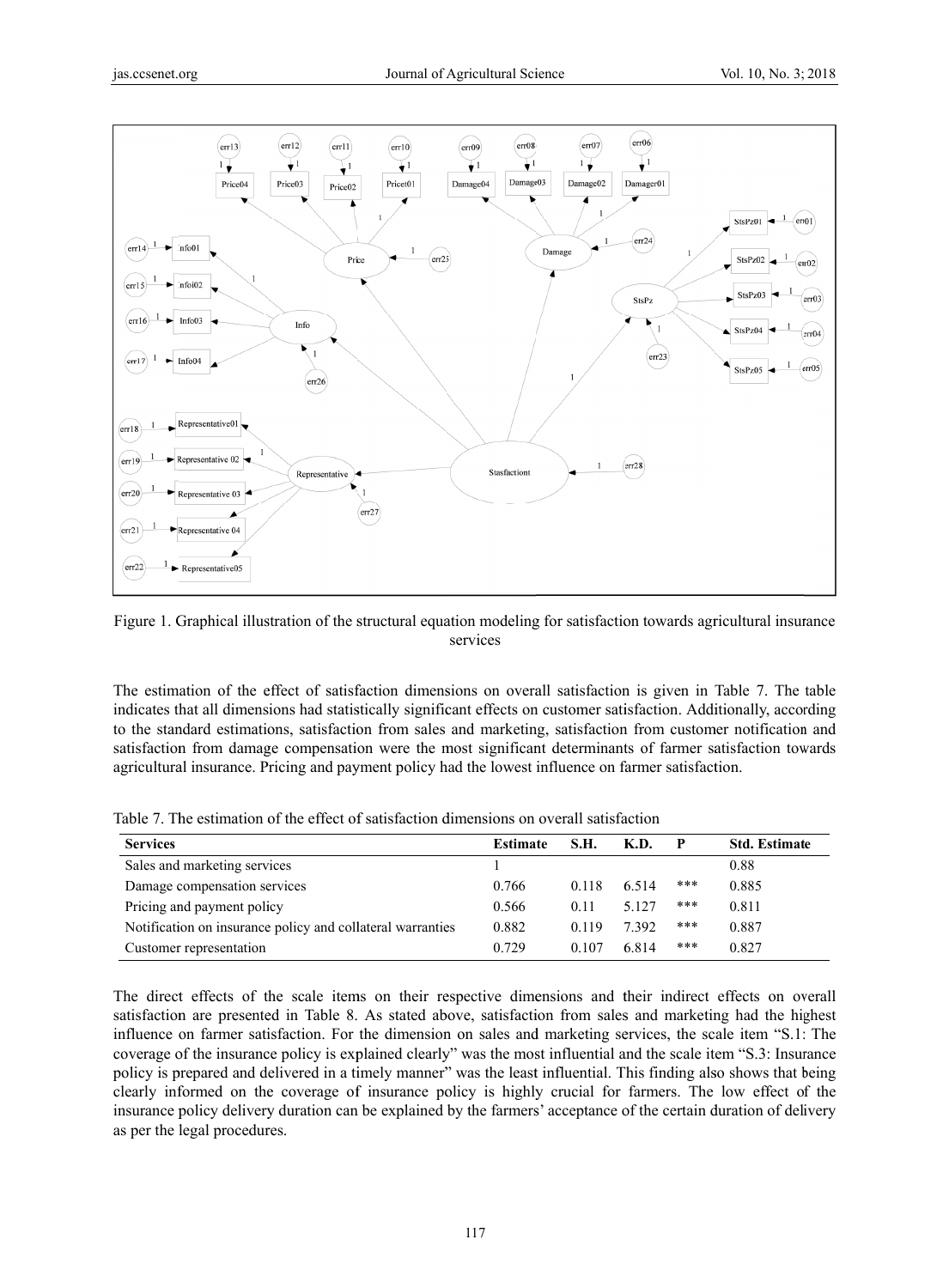

Figure 1. Graphical illustration of the structural equation modeling for satisfaction towards agricultural insurance services

The estimation of the effect of satisfaction dimensions on overall satisfaction is given in Table 7. The table indicates that all dimensions had statistically significant effects on customer satisfaction. Additionally, according to the standard estimations, satisfaction from sales and marketing, satisfaction from customer notification and satisfaction from damage compensation were the most significant determinants of farmer satisfaction towards agricultural insurance. Pricing and payment policy had the lowest influence on farmer satisfaction.

|  |  | Table 7. The estimation of the effect of satisfaction dimensions on overall satisfaction |  |  |
|--|--|------------------------------------------------------------------------------------------|--|--|
|  |  |                                                                                          |  |  |

| <b>Services</b>                                            | <b>Estimate</b> | S.H.  | K.D.    |       | <b>Std. Estimate</b> |
|------------------------------------------------------------|-----------------|-------|---------|-------|----------------------|
| Sales and marketing services                               |                 |       |         |       | 0.88                 |
| Damage compensation services                               | 0.766           | 0.118 | 6.514   | ***   | 0.885                |
| Pricing and payment policy                                 | 0.566           | 0.11  | 5 1 2 7 | ***   | 0.811                |
| Notification on insurance policy and collateral warranties | 0.882           | 0.119 | 7 3 9 2 | $***$ | 0.887                |
| Customer representation                                    | 0.729           | 0.107 | 6814    | ***   | 0.827                |

The direct effects of the scale items on their respective dimensions and their indirect effects on overall satisfaction are presented in Table 8. As stated above, satisfaction from sales and marketing had the highest influence on farmer satisfaction. For the dimension on sales and marketing services, the scale item "S.1: The coverage of the insurance policy is explained clearly" was the most influential and the scale item "S.3: Insurance policy is prepared and delivered in a timely manner" was the least influential. This finding also shows that being clearly informed on the coverage of insurance policy is highly crucial for farmers. The low effect of the insurance policy delivery duration can be explained by the farmers' acceptance of the certain duration of delivery as per the legal procedures.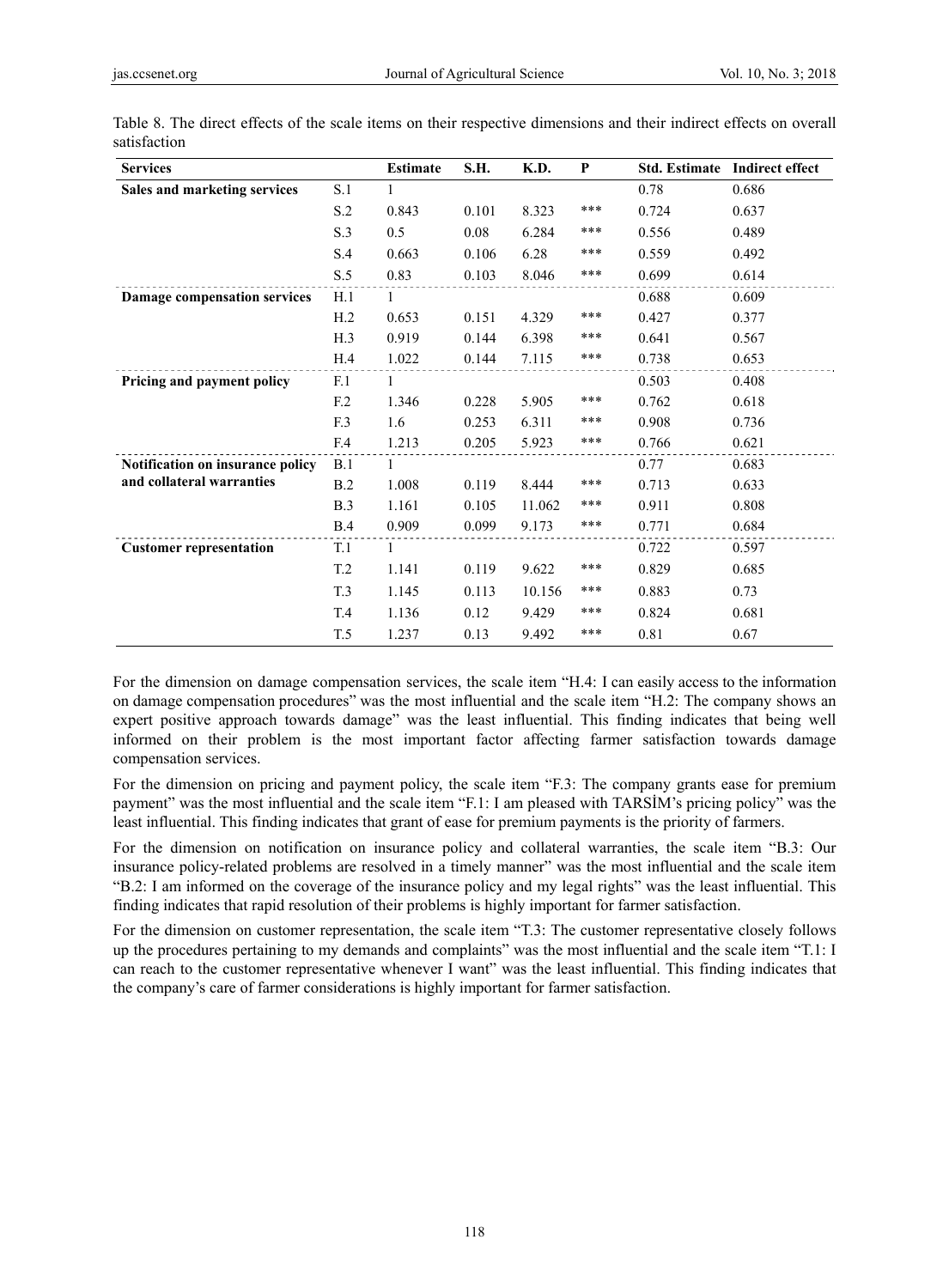| <b>Services</b>                  |                 | <b>Estimate</b> | S.H.  | K.D.   | P     | <b>Std. Estimate</b> | <b>Indirect effect</b> |
|----------------------------------|-----------------|-----------------|-------|--------|-------|----------------------|------------------------|
| Sales and marketing services     | S.1             | 1               |       |        |       | 0.78                 | 0.686                  |
|                                  | S.2             | 0.843           | 0.101 | 8.323  | $***$ | 0.724                | 0.637                  |
|                                  | S.3             | 0.5             | 0.08  | 6.284  | $***$ | 0.556                | 0.489                  |
|                                  | S.4             | 0.663           | 0.106 | 6.28   | $***$ | 0.559                | 0.492                  |
|                                  | S.5             | 0.83            | 0.103 | 8.046  | $***$ | 0.699                | 0.614                  |
| Damage compensation services     | H.1             | 1               |       |        |       | 0.688                | 0.609                  |
|                                  | H.2             | 0.653           | 0.151 | 4.329  | ***   | 0.427                | 0.377                  |
|                                  | H.3             | 0.919           | 0.144 | 6.398  | ***   | 0.641                | 0.567                  |
|                                  | H.4             | 1.022           | 0.144 | 7.115  | ***   | 0.738                | 0.653                  |
| Pricing and payment policy       | F.1             | 1               |       |        |       | 0.503                | 0.408                  |
|                                  | F.2             | 1.346           | 0.228 | 5.905  | ***   | 0.762                | 0.618                  |
|                                  | F.3             | 1.6             | 0.253 | 6.311  | $***$ | 0.908                | 0.736                  |
|                                  | F.4             | 1.213           | 0.205 | 5.923  | ***   | 0.766                | 0.621                  |
| Notification on insurance policy | B.1             | 1               |       |        |       | 0.77                 | 0.683                  |
| and collateral warranties        | B.2             | 1.008           | 0.119 | 8.444  | ***   | 0.713                | 0.633                  |
|                                  | B.3             | 1.161           | 0.105 | 11.062 | ***   | 0.911                | 0.808                  |
|                                  | B.4             | 0.909           | 0.099 | 9.173  | ***   | 0.771                | 0.684                  |
| <b>Customer representation</b>   | T.1             | 1               |       |        |       | 0.722                | 0.597                  |
|                                  | T <sub>.2</sub> | 1.141           | 0.119 | 9.622  | ***   | 0.829                | 0.685                  |
|                                  | T.3             | 1.145           | 0.113 | 10.156 | ***   | 0.883                | 0.73                   |
|                                  | T.4             | 1.136           | 0.12  | 9.429  | ***   | 0.824                | 0.681                  |
|                                  | T.5             | 1.237           | 0.13  | 9.492  | ***   | 0.81                 | 0.67                   |

Table 8. The direct effects of the scale items on their respective dimensions and their indirect effects on overall satisfaction

For the dimension on damage compensation services, the scale item "H.4: I can easily access to the information on damage compensation procedures" was the most influential and the scale item "H.2: The company shows an expert positive approach towards damage" was the least influential. This finding indicates that being well informed on their problem is the most important factor affecting farmer satisfaction towards damage compensation services.

For the dimension on pricing and payment policy, the scale item "F.3: The company grants ease for premium payment" was the most influential and the scale item "F.1: I am pleased with TARSİM's pricing policy" was the least influential. This finding indicates that grant of ease for premium payments is the priority of farmers.

For the dimension on notification on insurance policy and collateral warranties, the scale item "B.3: Our insurance policy-related problems are resolved in a timely manner" was the most influential and the scale item "B.2: I am informed on the coverage of the insurance policy and my legal rights" was the least influential. This finding indicates that rapid resolution of their problems is highly important for farmer satisfaction.

For the dimension on customer representation, the scale item "T.3: The customer representative closely follows up the procedures pertaining to my demands and complaints" was the most influential and the scale item "T.1: I can reach to the customer representative whenever I want" was the least influential. This finding indicates that the company's care of farmer considerations is highly important for farmer satisfaction.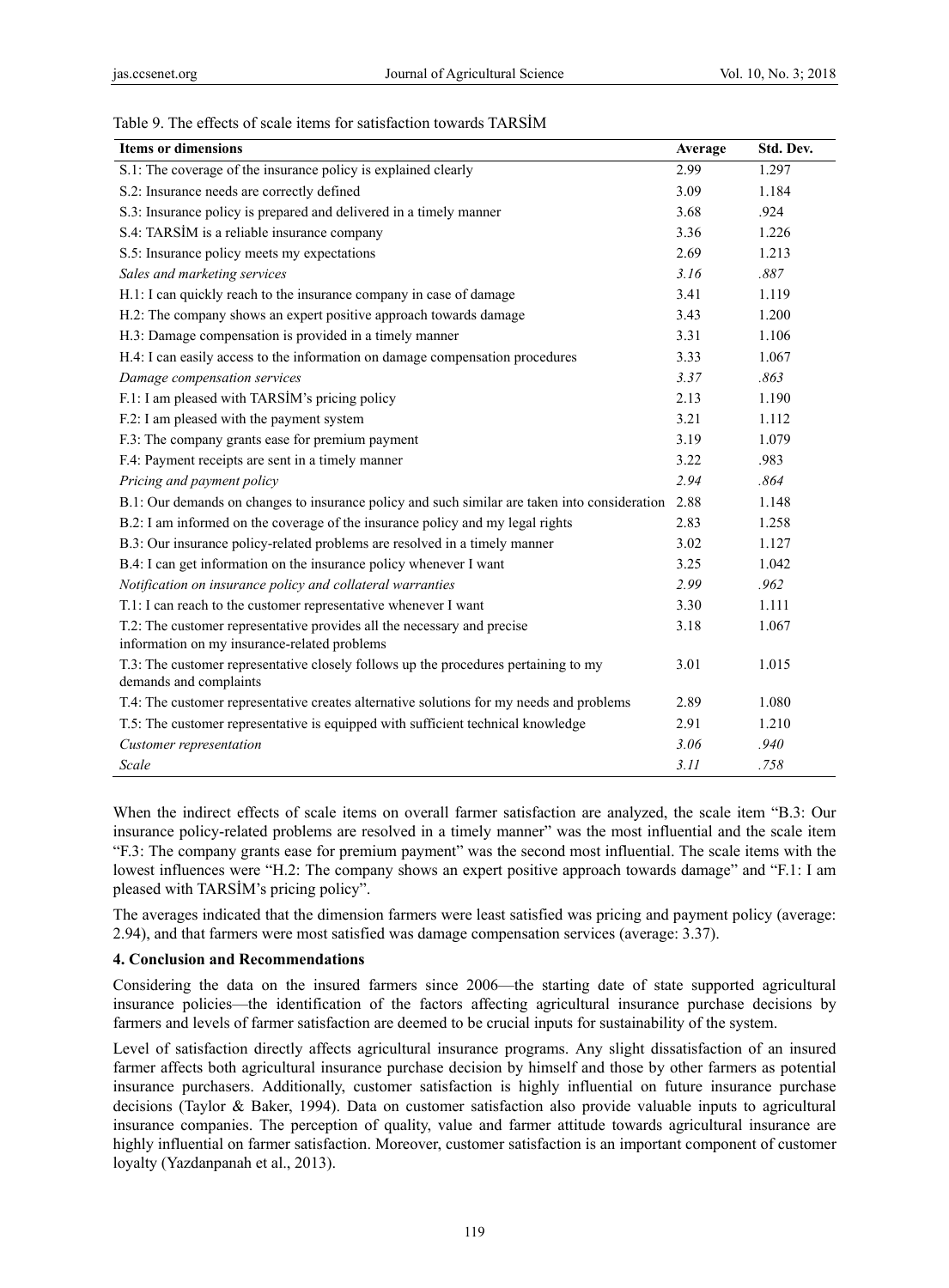# Table 9. The effects of scale items for satisfaction towards TARSİM

| <b>Items or dimensions</b>                                                                                              | Average | Std. Dev. |
|-------------------------------------------------------------------------------------------------------------------------|---------|-----------|
| S.1: The coverage of the insurance policy is explained clearly                                                          | 2.99    | 1.297     |
| S.2: Insurance needs are correctly defined                                                                              | 3.09    | 1.184     |
| S.3: Insurance policy is prepared and delivered in a timely manner                                                      | 3.68    | .924      |
| S.4: TARSIM is a reliable insurance company                                                                             | 3.36    | 1.226     |
| S.5: Insurance policy meets my expectations                                                                             | 2.69    | 1.213     |
| Sales and marketing services                                                                                            | 3.16    | .887      |
| H.1: I can quickly reach to the insurance company in case of damage                                                     | 3.41    | 1.119     |
| H.2: The company shows an expert positive approach towards damage                                                       | 3.43    | 1.200     |
| H.3: Damage compensation is provided in a timely manner                                                                 | 3.31    | 1.106     |
| H.4: I can easily access to the information on damage compensation procedures                                           | 3.33    | 1.067     |
| Damage compensation services                                                                                            | 3.37    | .863      |
| F.1: I am pleased with TARSIM's pricing policy                                                                          | 2.13    | 1.190     |
| F.2: I am pleased with the payment system                                                                               | 3.21    | 1.112     |
| F.3: The company grants ease for premium payment                                                                        | 3.19    | 1.079     |
| F.4: Payment receipts are sent in a timely manner                                                                       | 3.22    | .983      |
| Pricing and payment policy                                                                                              | 2.94    | .864      |
| B.1: Our demands on changes to insurance policy and such similar are taken into consideration 2.88                      |         | 1.148     |
| B.2: I am informed on the coverage of the insurance policy and my legal rights                                          | 2.83    | 1.258     |
| B.3: Our insurance policy-related problems are resolved in a timely manner                                              | 3.02    | 1.127     |
| B.4: I can get information on the insurance policy whenever I want                                                      | 3.25    | 1.042     |
| Notification on insurance policy and collateral warranties                                                              | 2.99    | .962      |
| T.1: I can reach to the customer representative whenever I want                                                         | 3.30    | 1.111     |
| T.2: The customer representative provides all the necessary and precise<br>information on my insurance-related problems | 3.18    | 1.067     |
| T.3: The customer representative closely follows up the procedures pertaining to my<br>demands and complaints           | 3.01    | 1.015     |
| T.4: The customer representative creates alternative solutions for my needs and problems                                | 2.89    | 1.080     |
| T.5: The customer representative is equipped with sufficient technical knowledge                                        | 2.91    | 1.210     |
| Customer representation                                                                                                 | 3.06    | .940      |
| Scale                                                                                                                   | 3.11    | .758      |

When the indirect effects of scale items on overall farmer satisfaction are analyzed, the scale item "B.3: Our insurance policy-related problems are resolved in a timely manner" was the most influential and the scale item "F.3: The company grants ease for premium payment" was the second most influential. The scale items with the lowest influences were "H.2: The company shows an expert positive approach towards damage" and "F.1: I am pleased with TARSİM's pricing policy".

The averages indicated that the dimension farmers were least satisfied was pricing and payment policy (average: 2.94), and that farmers were most satisfied was damage compensation services (average: 3.37).

#### **4. Conclusion and Recommendations**

Considering the data on the insured farmers since 2006—the starting date of state supported agricultural insurance policies—the identification of the factors affecting agricultural insurance purchase decisions by farmers and levels of farmer satisfaction are deemed to be crucial inputs for sustainability of the system.

Level of satisfaction directly affects agricultural insurance programs. Any slight dissatisfaction of an insured farmer affects both agricultural insurance purchase decision by himself and those by other farmers as potential insurance purchasers. Additionally, customer satisfaction is highly influential on future insurance purchase decisions (Taylor & Baker, 1994). Data on customer satisfaction also provide valuable inputs to agricultural insurance companies. The perception of quality, value and farmer attitude towards agricultural insurance are highly influential on farmer satisfaction. Moreover, customer satisfaction is an important component of customer loyalty (Yazdanpanah et al., 2013).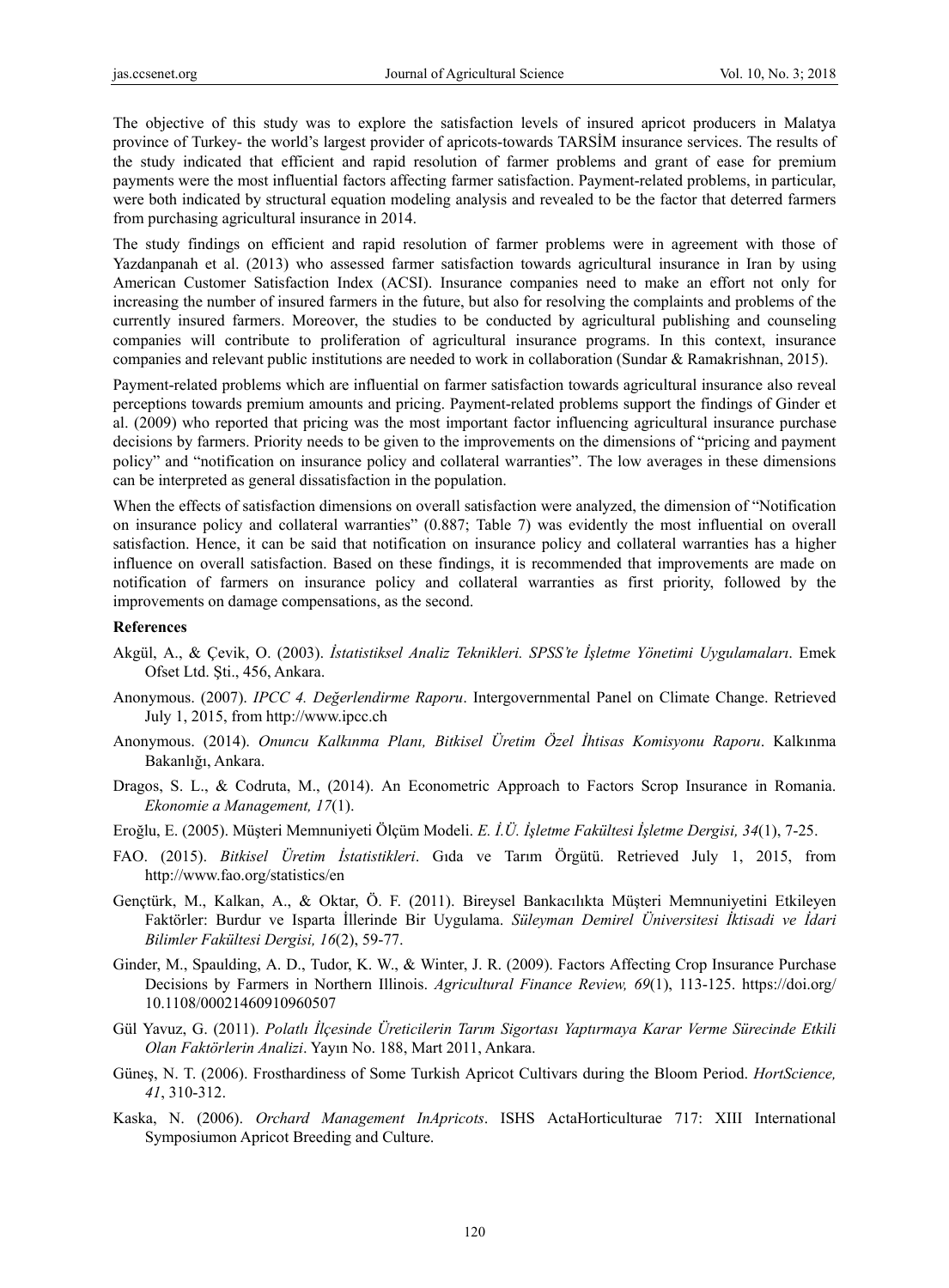The objective of this study was to explore the satisfaction levels of insured apricot producers in Malatya province of Turkey- the world's largest provider of apricots-towards TARSİM insurance services. The results of the study indicated that efficient and rapid resolution of farmer problems and grant of ease for premium payments were the most influential factors affecting farmer satisfaction. Payment-related problems, in particular, were both indicated by structural equation modeling analysis and revealed to be the factor that deterred farmers from purchasing agricultural insurance in 2014.

The study findings on efficient and rapid resolution of farmer problems were in agreement with those of Yazdanpanah et al. (2013) who assessed farmer satisfaction towards agricultural insurance in Iran by using American Customer Satisfaction Index (ACSI). Insurance companies need to make an effort not only for increasing the number of insured farmers in the future, but also for resolving the complaints and problems of the currently insured farmers. Moreover, the studies to be conducted by agricultural publishing and counseling companies will contribute to proliferation of agricultural insurance programs. In this context, insurance companies and relevant public institutions are needed to work in collaboration (Sundar & Ramakrishnan, 2015).

Payment-related problems which are influential on farmer satisfaction towards agricultural insurance also reveal perceptions towards premium amounts and pricing. Payment-related problems support the findings of Ginder et al. (2009) who reported that pricing was the most important factor influencing agricultural insurance purchase decisions by farmers. Priority needs to be given to the improvements on the dimensions of "pricing and payment policy" and "notification on insurance policy and collateral warranties". The low averages in these dimensions can be interpreted as general dissatisfaction in the population.

When the effects of satisfaction dimensions on overall satisfaction were analyzed, the dimension of "Notification on insurance policy and collateral warranties" (0.887; Table 7) was evidently the most influential on overall satisfaction. Hence, it can be said that notification on insurance policy and collateral warranties has a higher influence on overall satisfaction. Based on these findings, it is recommended that improvements are made on notification of farmers on insurance policy and collateral warranties as first priority, followed by the improvements on damage compensations, as the second.

#### **References**

- Akgül, A., & Çevik, O. (2003). *İstatistiksel Analiz Teknikleri. SPSS'te İşletme Yönetimi Uygulamaları*. Emek Ofset Ltd. Şti., 456, Ankara.
- Anonymous. (2007). *IPCC 4. Değerlendirme Raporu*. Intergovernmental Panel on Climate Change. Retrieved July 1, 2015, from http://www.ipcc.ch
- Anonymous. (2014). *Onuncu Kalkınma Planı, Bitkisel Üretim Özel İhtisas Komisyonu Raporu*. Kalkınma Bakanlığı, Ankara.
- Dragos, S. L., & Codruta, M., (2014). An Econometric Approach to Factors Scrop Insurance in Romania. *Ekonomie a Management, 17*(1).
- Eroğlu, E. (2005). Müşteri Memnuniyeti Ölçüm Modeli. *E. İ.Ü. İşletme Fakültesi İşletme Dergisi, 34*(1), 7-25.
- FAO. (2015). *Bitkisel Üretim İstatistikleri*. Gıda ve Tarım Örgütü. Retrieved July 1, 2015, from http://www.fao.org/statistics/en
- Gençtürk, M., Kalkan, A., & Oktar, Ö. F. (2011). Bireysel Bankacılıkta Müşteri Memnuniyetini Etkileyen Faktörler: Burdur ve Isparta İllerinde Bir Uygulama. *Süleyman Demirel Üniversitesi İktisadi ve İdari Bilimler Fakültesi Dergisi, 16*(2), 59-77.
- Ginder, M., Spaulding, A. D., Tudor, K. W., & Winter, J. R. (2009). Factors Affecting Crop Insurance Purchase Decisions by Farmers in Northern Illinois. *Agricultural Finance Review, 69*(1), 113-125. https://doi.org/ 10.1108/00021460910960507
- Gül Yavuz, G. (2011). *Polatlı İlçesinde Üreticilerin Tarım Sigortası Yaptırmaya Karar Verme Sürecinde Etkili Olan Faktörlerin Analizi*. Yayın No. 188, Mart 2011, Ankara.
- Güneş, N. T. (2006). Frosthardiness of Some Turkish Apricot Cultivars during the Bloom Period. *HortScience, 41*, 310-312.
- Kaska, N. (2006). *Orchard Management InApricots*. ISHS ActaHorticulturae 717: XIII International Symposiumon Apricot Breeding and Culture.